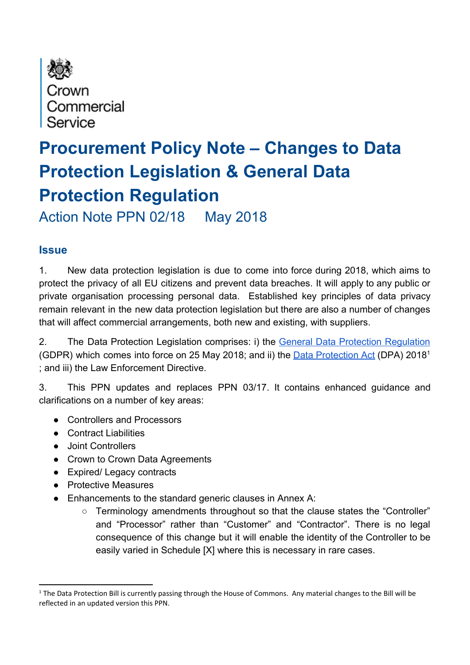

# **Procurement Policy Note – Changes to Data Protection Legislation & General Data Protection Regulation**

Action Note PPN 02/18 May 2018

# **Issue**

1. New data protection legislation is due to come into force during 2018, which aims to protect the privacy of all EU citizens and prevent data breaches. It will apply to any public or private organisation processing personal data. Established key principles of data privacy remain relevant in the new data protection legislation but there are also a number of changes that will affect commercial arrangements, both new and existing, with suppliers.

2. The Data Protection Legislation comprises: i) the General Data Protection [Regulation](http://eur-lex.europa.eu/legal-content/EN/TXT/PDF/?uri=CELEX:32016R0679&from=EN) (GDPR) which comes into force on 25 May 2018; and ii) the **Data [Protection](https://www.gov.uk/government/publications/data-protection-bill-general-processing) Act** (DPA) 2018<sup>1</sup> ; and iii) the Law Enforcement Directive.

3. This PPN updates and replaces PPN 03/17. It contains enhanced guidance and clarifications on a number of key areas:

- Controllers and Processors
- Contract Liabilities
- Joint Controllers
- Crown to Crown Data Agreements
- Expired/ Legacy contracts
- Protective Measures
- Enhancements to the standard generic clauses in Annex A:
	- Terminology amendments throughout so that the clause states the "Controller" and "Processor" rather than "Customer" and "Contractor". There is no legal consequence of this change but it will enable the identity of the Controller to be easily varied in Schedule [X] where this is necessary in rare cases.

<sup>&</sup>lt;sup>1</sup> The Data Protection Bill is currently passing through the House of Commons. Any material changes to the Bill will be reflected in an updated version this PPN.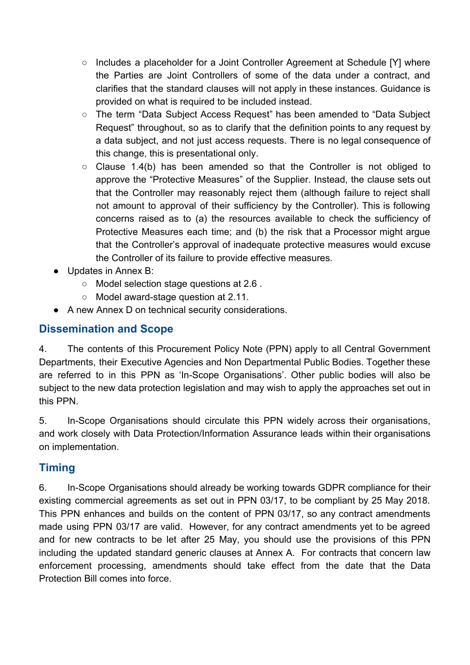- Includes a placeholder for a Joint Controller Agreement at Schedule [Y] where the Parties are Joint Controllers of some of the data under a contract, and clarifies that the standard clauses will not apply in these instances. Guidance is provided on what is required to be included instead.
- The term "Data Subject Access Request" has been amended to "Data Subject Request" throughout, so as to clarify that the definition points to any request by a data subject, and not just access requests. There is no legal consequence of this change, this is presentational only.
- Clause 1.4(b) has been amended so that the Controller is not obliged to approve the "Protective Measures" of the Supplier. Instead, the clause sets out that the Controller may reasonably reject them (although failure to reject shall not amount to approval of their sufficiency by the Controller). This is following concerns raised as to (a) the resources available to check the sufficiency of Protective Measures each time; and (b) the risk that a Processor might argue that the Controller's approval of inadequate protective measures would excuse the Controller of its failure to provide effective measures.
- Updates in Annex B:
	- Model selection stage questions at 2.6 .
	- Model award-stage question at 2.11.
- A new Annex D on technical security considerations.

# **Dissemination and Scope**

4. The contents of this Procurement Policy Note (PPN) apply to all Central Government Departments, their Executive Agencies and Non Departmental Public Bodies. Together these are referred to in this PPN as 'In-Scope Organisations'. Other public bodies will also be subject to the new data protection legislation and may wish to apply the approaches set out in this PPN.

5. In-Scope Organisations should circulate this PPN widely across their organisations, and work closely with Data Protection/Information Assurance leads within their organisations on implementation.

# **Timing**

6. In-Scope Organisations should already be working towards GDPR compliance for their existing commercial agreements as set out in PPN 03/17, to be compliant by 25 May 2018. This PPN enhances and builds on the content of PPN 03/17, so any contract amendments made using PPN 03/17 are valid. However, for any contract amendments yet to be agreed and for new contracts to be let after 25 May, you should use the provisions of this PPN including the updated standard generic clauses at Annex A. For contracts that concern law enforcement processing, amendments should take effect from the date that the Data Protection Bill comes into force.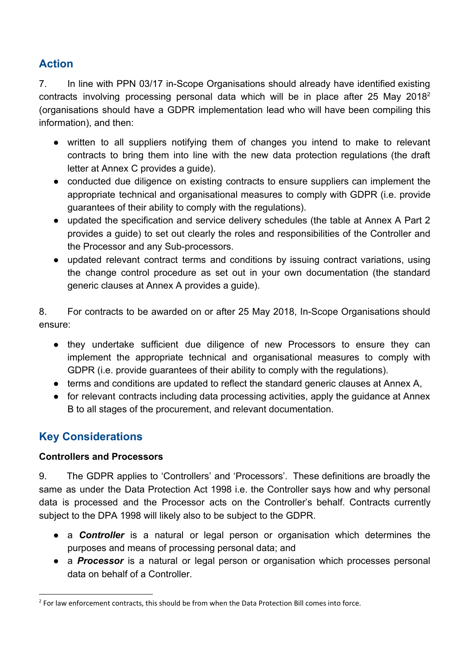# **Action**

7. In line with PPN 03/17 in-Scope Organisations should already have identified existing contracts involving processing personal data which will be in place after 25 May 2018<sup>2</sup> (organisations should have a GDPR implementation lead who will have been compiling this information), and then:

- written to all suppliers notifying them of changes you intend to make to relevant contracts to bring them into line with the new data protection regulations (the draft letter at Annex C provides a guide).
- conducted due diligence on existing contracts to ensure suppliers can implement the appropriate technical and organisational measures to comply with GDPR (i.e. provide guarantees of their ability to comply with the regulations).
- updated the specification and service delivery schedules (the table at Annex A Part 2 provides a guide) to set out clearly the roles and responsibilities of the Controller and the Processor and any Sub-processors.
- updated relevant contract terms and conditions by issuing contract variations, using the change control procedure as set out in your own documentation (the standard generic clauses at Annex A provides a guide).

8. For contracts to be awarded on or after 25 May 2018, In-Scope Organisations should ensure:

- they undertake sufficient due diligence of new Processors to ensure they can implement the appropriate technical and organisational measures to comply with GDPR (i.e. provide guarantees of their ability to comply with the regulations).
- terms and conditions are updated to reflect the standard generic clauses at Annex A,
- for relevant contracts including data processing activities, apply the guidance at Annex B to all stages of the procurement, and relevant documentation.

# **Key Considerations**

## **Controllers and Processors**

9. The GDPR applies to 'Controllers' and 'Processors'. These definitions are broadly the same as under the Data Protection Act 1998 i.e. the Controller says how and why personal data is processed and the Processor acts on the Controller's behalf. Contracts currently subject to the DPA 1998 will likely also to be subject to the GDPR.

- a **Controller** is a natural or legal person or organisation which determines the purposes and means of processing personal data; and
- a *Processor* is a natural or legal person or organisation which processes personal data on behalf of a Controller.

<sup>&</sup>lt;sup>2</sup> For law enforcement contracts, this should be from when the Data Protection Bill comes into force.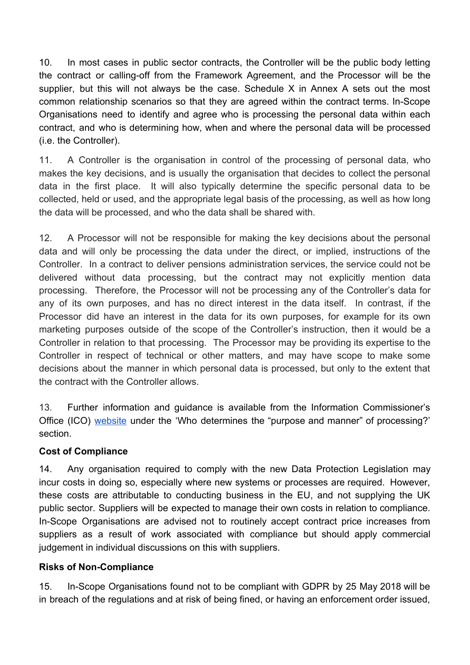10. In most cases in public sector contracts, the Controller will be the public body letting the contract or calling-off from the Framework Agreement, and the Processor will be the supplier, but this will not always be the case. Schedule X in Annex A sets out the most common relationship scenarios so that they are agreed within the contract terms. In-Scope Organisations need to identify and agree who is processing the personal data within each contract, and who is determining how, when and where the personal data will be processed (i.e. the Controller).

11. A Controller is the organisation in control of the processing of personal data, who makes the key decisions, and is usually the organisation that decides to collect the personal data in the first place. It will also typically determine the specific personal data to be collected, held or used, and the appropriate legal basis of the processing, as well as how long the data will be processed, and who the data shall be shared with.

12. A Processor will not be responsible for making the key decisions about the personal data and will only be processing the data under the direct, or implied, instructions of the Controller. In a contract to deliver pensions administration services, the service could not be delivered without data processing, but the contract may not explicitly mention data processing. Therefore, the Processor will not be processing any of the Controller's data for any of its own purposes, and has no direct interest in the data itself. In contrast, if the Processor did have an interest in the data for its own purposes, for example for its own marketing purposes outside of the scope of the Controller's instruction, then it would be a Controller in relation to that processing. The Processor may be providing its expertise to the Controller in respect of technical or other matters, and may have scope to make some decisions about the manner in which personal data is processed, but only to the extent that the contract with the Controller allows.

13. Further information and guidance is available from the Information Commissioner's Office (ICO) [website](https://ico.org.uk/for-organisations/guide-to-data-protection/key-definitions/) under the 'Who determines the "purpose and manner" of [processing?'](https://ico.org.uk/for-organisations/guide-to-data-protection/key-definitions/) [section.](https://ico.org.uk/for-organisations/guide-to-data-protection/key-definitions/)

#### **Cost of Compliance**

14. Any organisation required to comply with the new Data Protection Legislation may incur costs in doing so, especially where new systems or processes are required. However, these costs are attributable to conducting business in the EU, and not supplying the UK public sector. Suppliers will be expected to manage their own costs in relation to compliance. In-Scope Organisations are advised not to routinely accept contract price increases from suppliers as a result of work associated with compliance but should apply commercial judgement in individual discussions on this with suppliers.

#### **Risks of Non-Compliance**

15. In-Scope Organisations found not to be compliant with GDPR by 25 May 2018 will be in breach of the regulations and at risk of being fined, or having an enforcement order issued,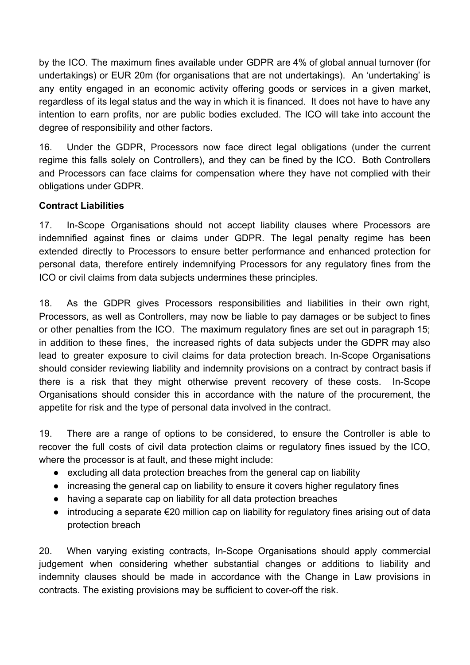by the ICO. The maximum fines available under GDPR are 4% of global annual turnover (for undertakings) or EUR 20m (for organisations that are not undertakings). An 'undertaking' is any entity engaged in an economic activity offering goods or services in a given market, regardless of its legal status and the way in which it is financed. It does not have to have any intention to earn profits, nor are public bodies excluded. The ICO will take into account the degree of responsibility and other factors.

16. Under the GDPR, Processors now face direct legal obligations (under the current regime this falls solely on Controllers), and they can be fined by the ICO. Both Controllers and Processors can face claims for compensation where they have not complied with their obligations under GDPR.

### **Contract Liabilities**

17. In-Scope Organisations should not accept liability clauses where Processors are indemnified against fines or claims under GDPR. The legal penalty regime has been extended directly to Processors to ensure better performance and enhanced protection for personal data, therefore entirely indemnifying Processors for any regulatory fines from the ICO or civil claims from data subjects undermines these principles.

18. As the GDPR gives Processors responsibilities and liabilities in their own right, Processors, as well as Controllers, may now be liable to pay damages or be subject to fines or other penalties from the ICO. The maximum regulatory fines are set out in paragraph 15; in addition to these fines, the increased rights of data subjects under the GDPR may also lead to greater exposure to civil claims for data protection breach. In-Scope Organisations should consider reviewing liability and indemnity provisions on a contract by contract basis if there is a risk that they might otherwise prevent recovery of these costs. In-Scope Organisations should consider this in accordance with the nature of the procurement, the appetite for risk and the type of personal data involved in the contract.

19. There are a range of options to be considered, to ensure the Controller is able to recover the full costs of civil data protection claims or regulatory fines issued by the ICO, where the processor is at fault, and these might include:

- excluding all data protection breaches from the general cap on liability
- increasing the general cap on liability to ensure it covers higher regulatory fines
- having a separate cap on liability for all data protection breaches
- $\bullet$  introducing a separate  $\epsilon$ 20 million cap on liability for regulatory fines arising out of data protection breach

20. When varying existing contracts, In-Scope Organisations should apply commercial judgement when considering whether substantial changes or additions to liability and indemnity clauses should be made in accordance with the Change in Law provisions in contracts. The existing provisions may be sufficient to cover-off the risk.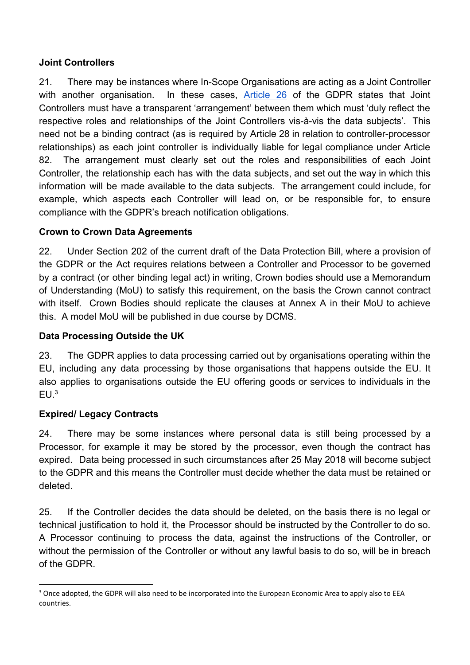## **Joint Controllers**

21. There may be instances where In-Scope Organisations are acting as a Joint Controller with another organisation. In these cases, [Article](http://eur-lex.europa.eu/legal-content/EN/TXT/PDF/?uri=CELEX:32016R0679&from=EN) 26 of the GDPR states that Joint Controllers must have a transparent 'arrangement' between them which must 'duly reflect the respective roles and relationships of the Joint Controllers vis-à-vis the data subjects'. This need not be a binding contract (as is required by Article 28 in relation to controller-processor relationships) as each joint controller is individually liable for legal compliance under Article 82. The arrangement must clearly set out the roles and responsibilities of each Joint Controller, the relationship each has with the data subjects, and set out the way in which this information will be made available to the data subjects. The arrangement could include, for example, which aspects each Controller will lead on, or be responsible for, to ensure compliance with the GDPR's breach notification obligations.

### **Crown to Crown Data Agreements**

22. Under Section 202 of the current draft of the Data Protection Bill, where a provision of the GDPR or the Act requires relations between a Controller and Processor to be governed by a contract (or other binding legal act) in writing, Crown bodies should use a Memorandum of Understanding (MoU) to satisfy this requirement, on the basis the Crown cannot contract with itself. Crown Bodies should replicate the clauses at Annex A in their MoU to achieve this. A model MoU will be published in due course by DCMS.

## **Data Processing Outside the UK**

23. The GDPR applies to data processing carried out by organisations operating within the EU, including any data processing by those organisations that happens outside the EU. It also applies to organisations outside the EU offering goods or services to individuals in the  $EU<sup>3</sup>$ 

## **Expired/ Legacy Contracts**

24. There may be some instances where personal data is still being processed by a Processor, for example it may be stored by the processor, even though the contract has expired. Data being processed in such circumstances after 25 May 2018 will become subject to the GDPR and this means the Controller must decide whether the data must be retained or deleted.

25. If the Controller decides the data should be deleted, on the basis there is no legal or technical justification to hold it, the Processor should be instructed by the Controller to do so. A Processor continuing to process the data, against the instructions of the Controller, or without the permission of the Controller or without any lawful basis to do so, will be in breach of the GDPR.

<sup>&</sup>lt;sup>3</sup> Once adopted, the GDPR will also need to be incorporated into the European Economic Area to apply also to EEA countries.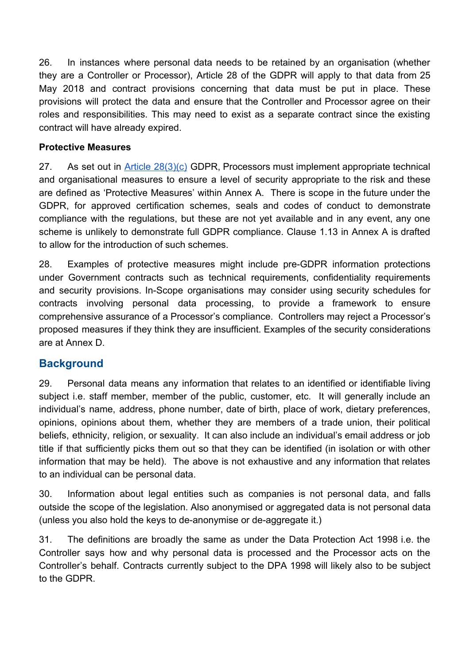26. In instances where personal data needs to be retained by an organisation (whether they are a Controller or Processor), Article 28 of the GDPR will apply to that data from 25 May 2018 and contract provisions concerning that data must be put in place. These provisions will protect the data and ensure that the Controller and Processor agree on their roles and responsibilities. This may need to exist as a separate contract since the existing contract will have already expired.

### **Protective Measures**

27. As set out in Article [28\(3\)\(c\)](http://eur-lex.europa.eu/legal-content/EN/TXT/PDF/?uri=CELEX:32016R0679&from=EN) GDPR, Processors must implement appropriate technical and organisational measures to ensure a level of security appropriate to the risk and these are defined as 'Protective Measures' within Annex A. There is scope in the future under the GDPR, for approved certification schemes, seals and codes of conduct to demonstrate compliance with the regulations, but these are not yet available and in any event, any one scheme is unlikely to demonstrate full GDPR compliance. Clause 1.13 in Annex A is drafted to allow for the introduction of such schemes.

28. Examples of protective measures might include pre-GDPR information protections under Government contracts such as technical requirements, confidentiality requirements and security provisions. In-Scope organisations may consider using security schedules for contracts involving personal data processing, to provide a framework to ensure comprehensive assurance of a Processor's compliance. Controllers may reject a Processor's proposed measures if they think they are insufficient. Examples of the security considerations are at Annex D.

# **Background**

29. Personal data means any information that relates to an identified or identifiable living subject i.e. staff member, member of the public, customer, etc. It will generally include an individual's name, address, phone number, date of birth, place of work, dietary preferences, opinions, opinions about them, whether they are members of a trade union, their political beliefs, ethnicity, religion, or sexuality. It can also include an individual's email address or job title if that sufficiently picks them out so that they can be identified (in isolation or with other information that may be held). The above is not exhaustive and any information that relates to an individual can be personal data.

30. Information about legal entities such as companies is not personal data, and falls outside the scope of the legislation. Also anonymised or aggregated data is not personal data (unless you also hold the keys to de-anonymise or de-aggregate it.)

31. The definitions are broadly the same as under the Data Protection Act 1998 i.e. the Controller says how and why personal data is processed and the Processor acts on the Controller's behalf. Contracts currently subject to the DPA 1998 will likely also to be subject to the GDPR.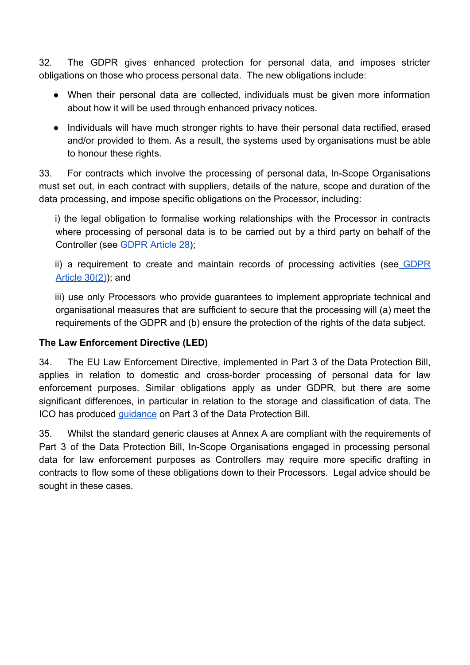32. The GDPR gives enhanced protection for personal data, and imposes stricter obligations on those who process personal data. The new obligations include:

- When their personal data are collected, individuals must be given more information about how it will be used through enhanced privacy notices.
- Individuals will have much stronger rights to have their personal data rectified, erased and/or provided to them. As a result, the systems used by organisations must be able to honour these rights.

33. For contracts which involve the processing of personal data, In-Scope Organisations must set out, in each contract with suppliers, details of the nature, scope and duration of the data processing, and impose specific obligations on the Processor, including:

i) the legal obligation to formalise working relationships with the Processor in contracts where processing of personal data is to be carried out by a third party on behalf of the Controller (se[e GDPR Article 28\)](http://eur-lex.europa.eu/legal-content/EN/TXT/PDF/?uri=CELEX:32016R0679&from=EN);

ii) a requirement to create and maintain records of processing activities (see [GDPR](http://eur-lex.europa.eu/legal-content/EN/TXT/PDF/?uri=CELEX:32016R0679&from=EN) [Article 30\(2\)](http://eur-lex.europa.eu/legal-content/EN/TXT/PDF/?uri=CELEX:32016R0679&from=EN)); and

iii) use only Processors who provide guarantees to implement appropriate technical and organisational measures that are sufficient to secure that the processing will (a) meet the requirements of the GDPR and (b) ensure the protection of the rights of the data subject.

## **The Law Enforcement Directive (LED)**

34. The EU Law Enforcement Directive, implemented in Part 3 of the Data Protection Bill, applies in relation to domestic and cross-border processing of personal data for law enforcement purposes. Similar obligations apply as under GDPR, but there are some significant differences, in particular in relation to the storage and classification of data. The ICO has produced [guidance](https://ico.org.uk/for-organisations/guide-to-the-law-enforcement-provisions/) on Part 3 of the Data Protection Bill.

35. Whilst the standard generic clauses at Annex A are compliant with the requirements of Part 3 of the Data Protection Bill, In-Scope Organisations engaged in processing personal data for law enforcement purposes as Controllers may require more specific drafting in contracts to flow some of these obligations down to their Processors. Legal advice should be sought in these cases.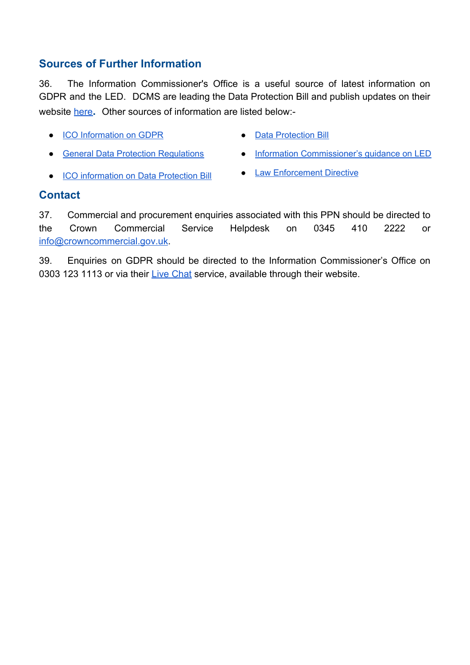# **Sources of Further Information**

36. The Information Commissioner's Office is a useful source of latest information on GDPR and the LED. DCMS are leading the Data Protection Bill and publish updates on their website [here](https://www.gov.uk/government/collections/data-protection-bill-2017)**.** Other sources of information are listed below:-

- ICO [Information](https://ico.org.uk/for-organisations/data-protection-reform/) on GDPR Data [Protection](https://publications.parliament.uk/pa/bills/lbill/2017-2019/0066/lbill_2017-20190066_en_1.htm) Bill
	-
- General Data Protection [Regulations](http://eur-lex.europa.eu/legal-content/en/TXT/?uri=CELEX:32016R0679) Information [Commissioner's](https://ico.org.uk/media/for-organisations/documents/2014918/dp-bill-12-steps-infographic.pdf) guidance on LED
- ICO [information](https://ico.org.uk/for-organisations/data-protection-bill/) on Data Protection Bill Law [Enforcement](https://www.gov.uk/government/uploads/system/uploads/attachment_data/file/644827/LED_Document.pdf) Directive
- 

## **Contact**

37. Commercial and procurement enquiries associated with this PPN should be directed to the Crown Commercial Service Helpdesk on 0345 410 2222 or [info@crowncommercial.gov.uk](mailto:info@crowncommercial.gov.uk).

39. Enquiries on GDPR should be directed to the Information Commissioner's Office on 0303 123 1113 or via their [Live Chat](https://ico.org.uk/global/contact-us/live-chat/) service, available through their website.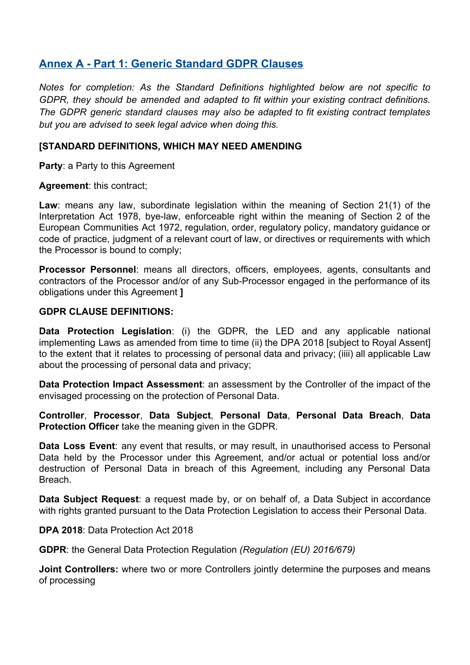## **Annex A - Part 1: Generic Standard GDPR Clauses**

*Notes for completion: As the Standard Definitions highlighted below are not specific to GDPR, they should be amended and adapted to fit within your existing contract definitions. The GDPR generic standard clauses may also be adapted to fit existing contract templates but you are advised to seek legal advice when doing this.*

#### **[STANDARD DEFINITIONS, WHICH MAY NEED AMENDING**

**Party**: a Party to this Agreement

**Agreement**: this contract;

**Law**: means any law, subordinate legislation within the meaning of Section 21(1) of the Interpretation Act 1978, bye-law, enforceable right within the meaning of Section 2 of the European Communities Act 1972, regulation, order, regulatory policy, mandatory guidance or code of practice, judgment of a relevant court of law, or directives or requirements with which the Processor is bound to comply;

**Processor Personnel**: means all directors, officers, employees, agents, consultants and contractors of the Processor and/or of any Sub-Processor engaged in the performance of its obligations under this Agreement **]**

#### **GDPR CLAUSE DEFINITIONS:**

**Data Protection Legislation**: (i) the GDPR, the LED and any applicable national implementing Laws as amended from time to time (ii) the DPA 2018 [subject to Royal Assent] to the extent that it relates to processing of personal data and privacy; (iiii) all applicable Law about the processing of personal data and privacy;

**Data Protection Impact Assessment**: an assessment by the Controller of the impact of the envisaged processing on the protection of Personal Data.

**Controller**, **Processor**, **Data Subject**, **Personal Data**, **Personal Data Breach**, **Data Protection Officer** take the meaning given in the GDPR.

**Data Loss Event**: any event that results, or may result, in unauthorised access to Personal Data held by the Processor under this Agreement, and/or actual or potential loss and/or destruction of Personal Data in breach of this Agreement, including any Personal Data Breach.

**Data Subject Request**: a request made by, or on behalf of, a Data Subject in accordance with rights granted pursuant to the Data Protection Legislation to access their Personal Data.

**DPA 2018**: Data Protection Act 2018

**GDPR**: the General Data Protection Regulation *(Regulation (EU) 2016/679)*

**Joint Controllers:** where two or more Controllers jointly determine the purposes and means of processing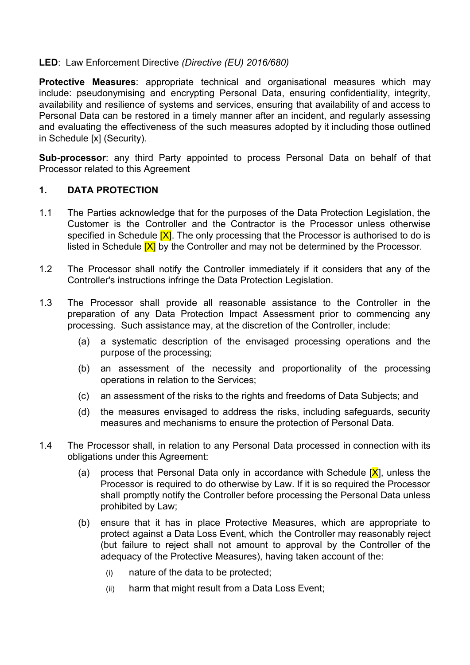#### **LED**: Law Enforcement Directive *(Directive (EU) 2016/680)*

**Protective Measures**: appropriate technical and organisational measures which may include: pseudonymising and encrypting Personal Data, ensuring confidentiality, integrity, availability and resilience of systems and services, ensuring that availability of and access to Personal Data can be restored in a timely manner after an incident, and regularly assessing and evaluating the effectiveness of the such measures adopted by it including those outlined in Schedule [x] (Security).

**Sub-processor**: any third Party appointed to process Personal Data on behalf of that Processor related to this Agreement

#### **1. DATA PROTECTION**

- 1.1 The Parties acknowledge that for the purposes of the Data Protection Legislation, the Customer is the Controller and the Contractor is the Processor unless otherwise specified in Schedule  $[X]$ . The only processing that the Processor is authorised to do is listed in Schedule  $[X]$  by the Controller and may not be determined by the Processor.
- 1.2 The Processor shall notify the Controller immediately if it considers that any of the Controller's instructions infringe the Data Protection Legislation.
- 1.3 The Processor shall provide all reasonable assistance to the Controller in the preparation of any Data Protection Impact Assessment prior to commencing any processing. Such assistance may, at the discretion of the Controller, include:
	- (a) a systematic description of the envisaged processing operations and the purpose of the processing;
	- (b) an assessment of the necessity and proportionality of the processing operations in relation to the Services;
	- (c) an assessment of the risks to the rights and freedoms of Data Subjects; and
	- (d) the measures envisaged to address the risks, including safeguards, security measures and mechanisms to ensure the protection of Personal Data.
- 1.4 The Processor shall, in relation to any Personal Data processed in connection with its obligations under this Agreement:
	- (a) process that Personal Data only in accordance with Schedule  $[X]$ , unless the Processor is required to do otherwise by Law. If it is so required the Processor shall promptly notify the Controller before processing the Personal Data unless prohibited by Law;
	- (b) ensure that it has in place Protective Measures, which are appropriate to protect against a Data Loss Event, which the Controller may reasonably reject (but failure to reject shall not amount to approval by the Controller of the adequacy of the Protective Measures), having taken account of the:
		- (i) nature of the data to be protected;
		- (ii) harm that might result from a Data Loss Event;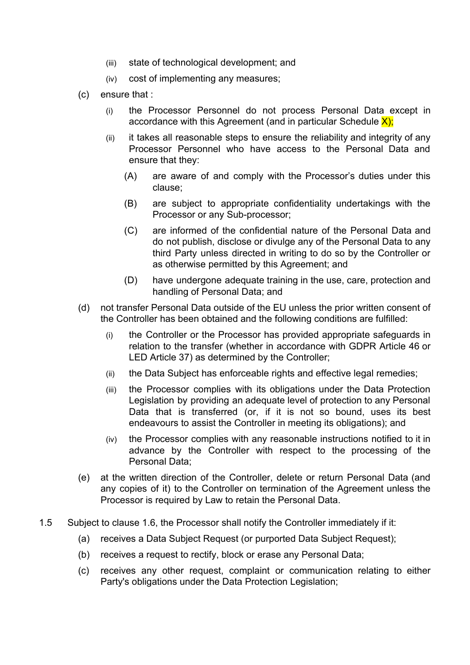- (iii) state of technological development; and
- (iv) cost of implementing any measures;
- (c) ensure that :
	- (i) the Processor Personnel do not process Personal Data except in accordance with this Agreement (and in particular Schedule  $X$ );
	- (ii) it takes all reasonable steps to ensure the reliability and integrity of any Processor Personnel who have access to the Personal Data and ensure that they:
		- (A) are aware of and comply with the Processor's duties under this clause;
		- (B) are subject to appropriate confidentiality undertakings with the Processor or any Sub-processor;
		- (C) are informed of the confidential nature of the Personal Data and do not publish, disclose or divulge any of the Personal Data to any third Party unless directed in writing to do so by the Controller or as otherwise permitted by this Agreement; and
		- (D) have undergone adequate training in the use, care, protection and handling of Personal Data; and
- (d) not transfer Personal Data outside of the EU unless the prior written consent of the Controller has been obtained and the following conditions are fulfilled:
	- (i) the Controller or the Processor has provided appropriate safeguards in relation to the transfer (whether in accordance with GDPR Article 46 or LED Article 37) as determined by the Controller;
	- (ii) the Data Subject has enforceable rights and effective legal remedies;
	- (iii) the Processor complies with its obligations under the Data Protection Legislation by providing an adequate level of protection to any Personal Data that is transferred (or, if it is not so bound, uses its best endeavours to assist the Controller in meeting its obligations); and
	- (iv) the Processor complies with any reasonable instructions notified to it in advance by the Controller with respect to the processing of the Personal Data;
- (e) at the written direction of the Controller, delete or return Personal Data (and any copies of it) to the Controller on termination of the Agreement unless the Processor is required by Law to retain the Personal Data.
- 1.5 Subject to clause 1.6, the Processor shall notify the Controller immediately if it:
	- (a) receives a Data Subject Request (or purported Data Subject Request);
	- (b) receives a request to rectify, block or erase any Personal Data;
	- (c) receives any other request, complaint or communication relating to either Party's obligations under the Data Protection Legislation;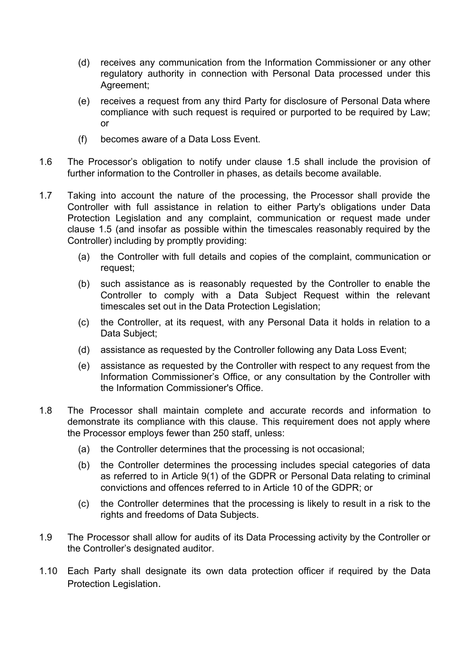- (d) receives any communication from the Information Commissioner or any other regulatory authority in connection with Personal Data processed under this Agreement;
- (e) receives a request from any third Party for disclosure of Personal Data where compliance with such request is required or purported to be required by Law; or
- (f) becomes aware of a Data Loss Event.
- 1.6 The Processor's obligation to notify under clause 1.5 shall include the provision of further information to the Controller in phases, as details become available.
- 1.7 Taking into account the nature of the processing, the Processor shall provide the Controller with full assistance in relation to either Party's obligations under Data Protection Legislation and any complaint, communication or request made under clause 1.5 (and insofar as possible within the timescales reasonably required by the Controller) including by promptly providing:
	- (a) the Controller with full details and copies of the complaint, communication or request;
	- (b) such assistance as is reasonably requested by the Controller to enable the Controller to comply with a Data Subject Request within the relevant timescales set out in the Data Protection Legislation;
	- (c) the Controller, at its request, with any Personal Data it holds in relation to a Data Subject;
	- (d) assistance as requested by the Controller following any Data Loss Event;
	- (e) assistance as requested by the Controller with respect to any request from the Information Commissioner's Office, or any consultation by the Controller with the Information Commissioner's Office.
- 1.8 The Processor shall maintain complete and accurate records and information to demonstrate its compliance with this clause. This requirement does not apply where the Processor employs fewer than 250 staff, unless:
	- (a) the Controller determines that the processing is not occasional;
	- (b) the Controller determines the processing includes special categories of data as referred to in Article 9(1) of the GDPR or Personal Data relating to criminal convictions and offences referred to in Article 10 of the GDPR; or
	- (c) the Controller determines that the processing is likely to result in a risk to the rights and freedoms of Data Subjects.
- 1.9 The Processor shall allow for audits of its Data Processing activity by the Controller or the Controller's designated auditor.
- 1.10 Each Party shall designate its own data protection officer if required by the Data Protection Legislation.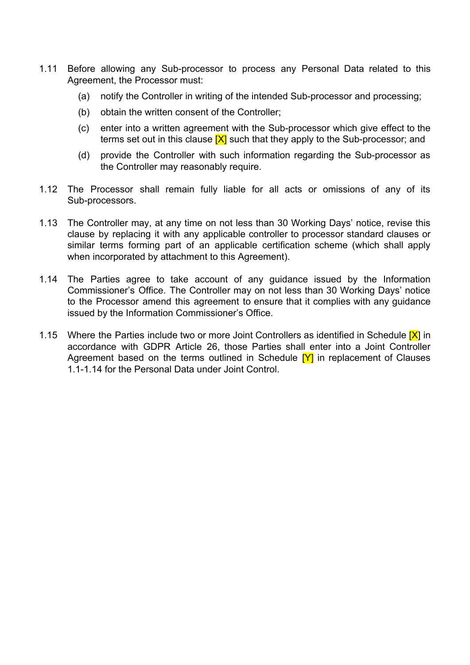- 1.11 Before allowing any Sub-processor to process any Personal Data related to this Agreement, the Processor must:
	- (a) notify the Controller in writing of the intended Sub-processor and processing;
	- (b) obtain the written consent of the Controller;
	- (c) enter into a written agreement with the Sub-processor which give effect to the terms set out in this clause  $[X]$  such that they apply to the Sub-processor; and
	- (d) provide the Controller with such information regarding the Sub-processor as the Controller may reasonably require.
- 1.12 The Processor shall remain fully liable for all acts or omissions of any of its Sub-processors.
- 1.13 The Controller may, at any time on not less than 30 Working Days' notice, revise this clause by replacing it with any applicable controller to processor standard clauses or similar terms forming part of an applicable certification scheme (which shall apply when incorporated by attachment to this Agreement).
- 1.14 The Parties agree to take account of any guidance issued by the Information Commissioner's Office. The Controller may on not less than 30 Working Days' notice to the Processor amend this agreement to ensure that it complies with any guidance issued by the Information Commissioner's Office.
- 1.15 Where the Parties include two or more Joint Controllers as identified in Schedule  $[X]$  in accordance with GDPR Article 26, those Parties shall enter into a Joint Controller Agreement based on the terms outlined in Schedule  $[Y]$  in replacement of Clauses 1.1-1.14 for the Personal Data under Joint Control.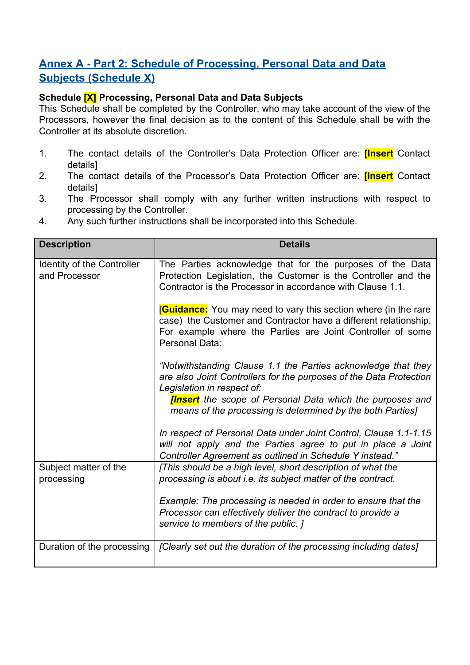# **Annex A - Part 2: Schedule of Processing, Personal Data and Data Subjects (Schedule X)**

## **Schedule [X] Processing, Personal Data and Data Subjects**

This Schedule shall be completed by the Controller, who may take account of the view of the Processors, however the final decision as to the content of this Schedule shall be with the Controller at its absolute discretion.

- 1. The contact details of the Controller's Data Protection Officer are: **[Insert** Contact details]
- 2. The contact details of the Processor's Data Protection Officer are: **[Insert** Contact details]
- 3. The Processor shall comply with any further written instructions with respect to processing by the Controller.
- 4. Any such further instructions shall be incorporated into this Schedule.

| <b>Description</b>                          | <b>Details</b>                                                                                                                                                                                                                        |
|---------------------------------------------|---------------------------------------------------------------------------------------------------------------------------------------------------------------------------------------------------------------------------------------|
| Identity of the Controller<br>and Processor | The Parties acknowledge that for the purposes of the Data<br>Protection Legislation, the Customer is the Controller and the<br>Contractor is the Processor in accordance with Clause 1.1.                                             |
|                                             | <b>Cuidance:</b> You may need to vary this section where (in the rare<br>case) the Customer and Contractor have a different relationship.<br>For example where the Parties are Joint Controller of some<br>Personal Data:             |
|                                             | "Notwithstanding Clause 1.1 the Parties acknowledge that they<br>are also Joint Controllers for the purposes of the Data Protection<br>Legislation in respect of:<br><b>[Insert</b> the scope of Personal Data which the purposes and |
|                                             | means of the processing is determined by the both Parties]                                                                                                                                                                            |
|                                             | In respect of Personal Data under Joint Control, Clause 1.1-1.15<br>will not apply and the Parties agree to put in place a Joint<br>Controller Agreement as outlined in Schedule Y instead."                                          |
| Subject matter of the<br>processing         | [This should be a high level, short description of what the<br>processing is about i.e. its subject matter of the contract.                                                                                                           |
|                                             | Example: The processing is needed in order to ensure that the<br>Processor can effectively deliver the contract to provide a<br>service to members of the public. ]                                                                   |
| Duration of the processing                  | [Clearly set out the duration of the processing including dates]                                                                                                                                                                      |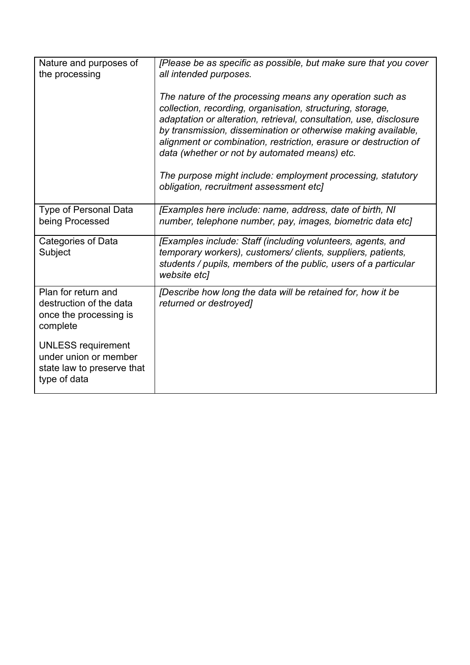| Nature and purposes of<br>the processing                                                         | [Please be as specific as possible, but make sure that you cover<br>all intended purposes.                                                                                                                                                                                                                                                                                         |
|--------------------------------------------------------------------------------------------------|------------------------------------------------------------------------------------------------------------------------------------------------------------------------------------------------------------------------------------------------------------------------------------------------------------------------------------------------------------------------------------|
|                                                                                                  | The nature of the processing means any operation such as<br>collection, recording, organisation, structuring, storage,<br>adaptation or alteration, retrieval, consultation, use, disclosure<br>by transmission, dissemination or otherwise making available,<br>alignment or combination, restriction, erasure or destruction of<br>data (whether or not by automated means) etc. |
|                                                                                                  | The purpose might include: employment processing, statutory<br>obligation, recruitment assessment etc]                                                                                                                                                                                                                                                                             |
| <b>Type of Personal Data</b><br>being Processed                                                  | [Examples here include: name, address, date of birth, NI<br>number, telephone number, pay, images, biometric data etcl                                                                                                                                                                                                                                                             |
| Categories of Data<br>Subject                                                                    | [Examples include: Staff (including volunteers, agents, and<br>temporary workers), customers/clients, suppliers, patients,<br>students / pupils, members of the public, users of a particular<br>website etcl                                                                                                                                                                      |
| Plan for return and<br>destruction of the data<br>once the processing is<br>complete             | [Describe how long the data will be retained for, how it be<br>returned or destroyed]                                                                                                                                                                                                                                                                                              |
| <b>UNLESS</b> requirement<br>under union or member<br>state law to preserve that<br>type of data |                                                                                                                                                                                                                                                                                                                                                                                    |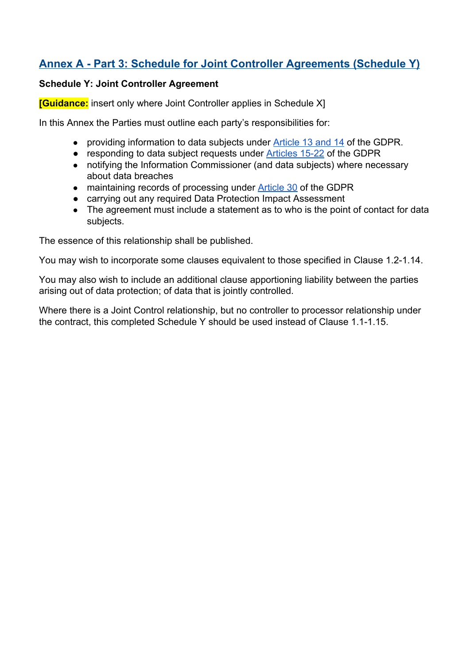# **Annex A - Part 3: Schedule for Joint Controller Agreements (Schedule Y)**

#### **Schedule Y: Joint Controller Agreement**

**[Guidance:** insert only where Joint Controller applies in Schedule X]

In this Annex the Parties must outline each party's responsibilities for:

- providing information to data subjects under **[Article 13 and 14](http://eur-lex.europa.eu/legal-content/EN/TXT/PDF/?uri=CELEX:32016R0679&from=EN) of the GDPR**.
- responding to data subject requests under [Articles 15-22](http://eur-lex.europa.eu/legal-content/EN/TXT/PDF/?uri=CELEX:32016R0679&from=EN) of the GDPR
- notifying the Information Commissioner (and data subjects) where necessary about data breaches
- maintaining records of processing under **Article 30** of the GDPR
- carrying out any required Data Protection Impact Assessment
- The agreement must include a statement as to who is the point of contact for data subjects.

The essence of this relationship shall be published.

You may wish to incorporate some clauses equivalent to those specified in Clause 1.2-1.14.

You may also wish to include an additional clause apportioning liability between the parties arising out of data protection; of data that is jointly controlled.

Where there is a Joint Control relationship, but no controller to processor relationship under the contract, this completed Schedule Y should be used instead of Clause 1.1-1.15.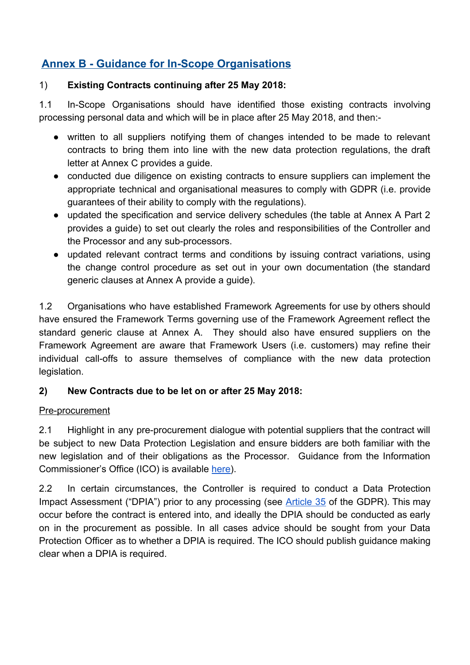# **Annex B - Guidance for In-Scope Organisations**

#### 1) **Existing Contracts continuing after 25 May 2018:**

1.1 In-Scope Organisations should have identified those existing contracts involving processing personal data and which will be in place after 25 May 2018, and then:-

- written to all suppliers notifying them of changes intended to be made to relevant contracts to bring them into line with the new data protection regulations, the draft letter at Annex C provides a guide.
- conducted due diligence on existing contracts to ensure suppliers can implement the appropriate technical and organisational measures to comply with GDPR (i.e. provide guarantees of their ability to comply with the regulations).
- updated the specification and service delivery schedules (the table at Annex A Part 2 provides a guide) to set out clearly the roles and responsibilities of the Controller and the Processor and any sub-processors.
- updated relevant contract terms and conditions by issuing contract variations, using the change control procedure as set out in your own documentation (the standard generic clauses at Annex A provide a guide).

1.2 Organisations who have established Framework Agreements for use by others should have ensured the Framework Terms governing use of the Framework Agreement reflect the standard generic clause at Annex A. They should also have ensured suppliers on the Framework Agreement are aware that Framework Users (i.e. customers) may refine their individual call-offs to assure themselves of compliance with the new data protection legislation.

## **2) New Contracts due to be let on or after 25 May 2018:**

#### Pre-procurement

2.1 Highlight in any pre-procurement dialogue with potential suppliers that the contract will be subject to new Data Protection Legislation and ensure bidders are both familiar with the new legislation and of their obligations as the Processor. Guidance from the Information Commissioner's Office (ICO) is available [here\)](https://ico.org.uk/for-organisations/data-protection-reform/overview-of-the-gdpr/).

2.2 In certain circumstances, the Controller is required to conduct a Data Protection Impact Assessment ("DPIA") prior to any processing (see **[Article](http://eur-lex.europa.eu/legal-content/EN/TXT/PDF/?uri=CELEX:32016R0679&from=EN) 35** of the GDPR). This may occur before the contract is entered into, and ideally the DPIA should be conducted as early on in the procurement as possible. In all cases advice should be sought from your Data Protection Officer as to whether a DPIA is required. The ICO should publish guidance making clear when a DPIA is required.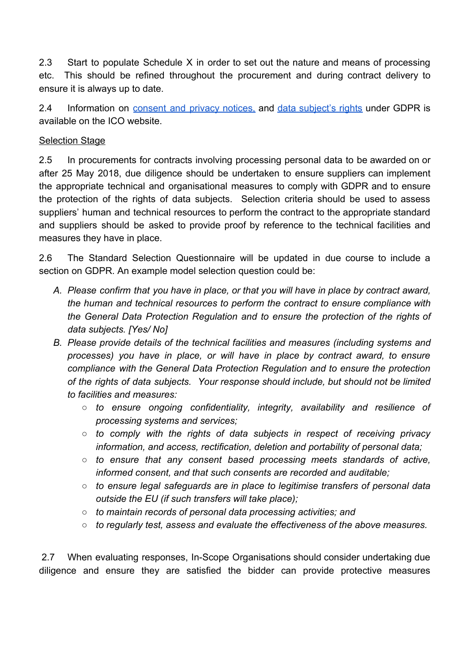2.3 Start to populate Schedule X in order to set out the nature and means of processing etc. This should be refined throughout the procurement and during contract delivery to ensure it is always up to date.

2.4 Information on [consent](https://ico.org.uk/for-organisations/guide-to-data-protection/privacy-notices-transparency-and-control/) and privacy notices, and data [subject's](https://ico.org.uk/for-organisations/data-protection-reform/overview-of-the-gdpr/individuals-rights/) rights under GDPR is available on the ICO website.

#### **Selection Stage**

2.5 In procurements for contracts involving processing personal data to be awarded on or after 25 May 2018, due diligence should be undertaken to ensure suppliers can implement the appropriate technical and organisational measures to comply with GDPR and to ensure the protection of the rights of data subjects. Selection criteria should be used to assess suppliers' human and technical resources to perform the contract to the appropriate standard and suppliers should be asked to provide proof by reference to the technical facilities and measures they have in place.

2.6 The Standard Selection Questionnaire will be updated in due course to include a section on GDPR. An example model selection question could be:

- *A. Please confirm that you have in place, or that you will have in place by contract award, the human and technical resources to perform the contract to ensure compliance with the General Data Protection Regulation and to ensure the protection of the rights of data subjects. [Yes/ No]*
- *B. Please provide details of the technical facilities and measures (including systems and processes) you have in place, or will have in place by contract award, to ensure compliance with the General Data Protection Regulation and to ensure the protection of the rights of data subjects. Your response should include, but should not be limited to facilities and measures:*
	- *○ to ensure ongoing confidentiality, integrity, availability and resilience of processing systems and services;*
	- *○ to comply with the rights of data subjects in respect of receiving privacy information, and access, rectification, deletion and portability of personal data;*
	- *○ to ensure that any consent based processing meets standards of active, informed consent, and that such consents are recorded and auditable;*
	- *○ to ensure legal safeguards are in place to legitimise transfers of personal data outside the EU (if such transfers will take place);*
	- *○ to maintain records of personal data processing activities; and*
	- *to regularly test, assess and evaluate the effectiveness of the above measures.*

 2.7 When evaluating responses, In-Scope Organisations should consider undertaking due diligence and ensure they are satisfied the bidder can provide protective measures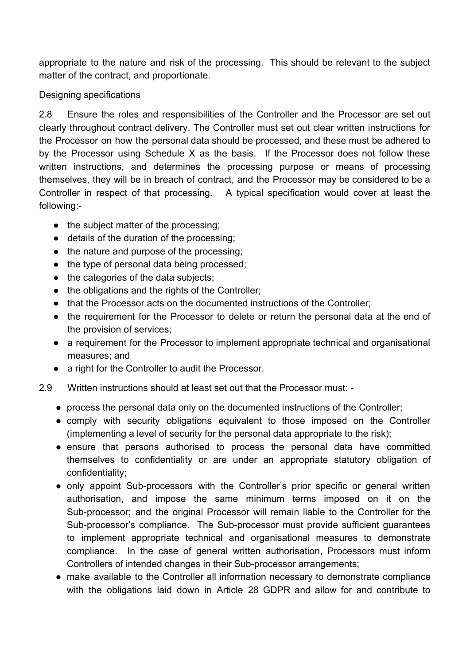appropriate to the nature and risk of the processing. This should be relevant to the subject matter of the contract, and proportionate.

#### Designing specifications

2.8 Ensure the roles and responsibilities of the Controller and the Processor are set out clearly throughout contract delivery. The Controller must set out clear written instructions for the Processor on how the personal data should be processed, and these must be adhered to by the Processor using Schedule X as the basis. If the Processor does not follow these written instructions, and determines the processing purpose or means of processing themselves, they will be in breach of contract, and the Processor may be considered to be a Controller in respect of that processing. A typical specification would cover at least the following:-

- the subject matter of the processing;
- details of the duration of the processing;
- the nature and purpose of the processing;
- the type of personal data being processed;
- the categories of the data subjects;
- the obligations and the rights of the Controller;
- that the Processor acts on the documented instructions of the Controller;
- the requirement for the Processor to delete or return the personal data at the end of the provision of services;
- a requirement for the Processor to implement appropriate technical and organisational measures; and
- a right for the Controller to audit the Processor.
- 2.9 Written instructions should at least set out that the Processor must:
	- process the personal data only on the documented instructions of the Controller;
	- comply with security obligations equivalent to those imposed on the Controller (implementing a level of security for the personal data appropriate to the risk);
	- ensure that persons authorised to process the personal data have committed themselves to confidentiality or are under an appropriate statutory obligation of confidentiality;
	- only appoint Sub-processors with the Controller's prior specific or general written authorisation, and impose the same minimum terms imposed on it on the Sub-processor; and the original Processor will remain liable to the Controller for the Sub-processor's compliance. The Sub-processor must provide sufficient guarantees to implement appropriate technical and organisational measures to demonstrate compliance. In the case of general written authorisation, Processors must inform Controllers of intended changes in their Sub-processor arrangements;
	- make available to the Controller all information necessary to demonstrate compliance with the obligations laid down in Article 28 GDPR and allow for and contribute to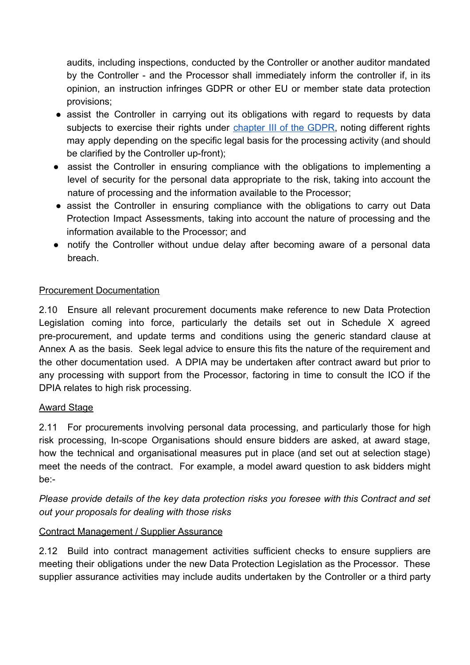audits, including inspections, conducted by the Controller or another auditor mandated by the Controller - and the Processor shall immediately inform the controller if, in its opinion, an instruction infringes GDPR or other EU or member state data protection provisions;

- assist the Controller in carrying out its obligations with regard to requests by data subjects to exercise their rights under [chapter](http://eur-lex.europa.eu/legal-content/en/TXT/?uri=CELEX:32016R0679) III of the GDPR, noting different rights may apply depending on the specific legal basis for the processing activity (and should be clarified by the Controller up-front);
- assist the Controller in ensuring compliance with the obligations to implementing a level of security for the personal data appropriate to the risk, taking into account the nature of processing and the information available to the Processor;
- assist the Controller in ensuring compliance with the obligations to carry out Data Protection Impact Assessments, taking into account the nature of processing and the information available to the Processor; and
- notify the Controller without undue delay after becoming aware of a personal data breach.

## Procurement Documentation

2.10 Ensure all relevant procurement documents make reference to new Data Protection Legislation coming into force, particularly the details set out in Schedule X agreed pre-procurement, and update terms and conditions using the generic standard clause at Annex A as the basis. Seek legal advice to ensure this fits the nature of the requirement and the other documentation used. A DPIA may be undertaken after contract award but prior to any processing with support from the Processor, factoring in time to consult the ICO if the DPIA relates to high risk processing.

## Award Stage

2.11 For procurements involving personal data processing, and particularly those for high risk processing, In-scope Organisations should ensure bidders are asked, at award stage, how the technical and organisational measures put in place (and set out at selection stage) meet the needs of the contract. For example, a model award question to ask bidders might be:-

*Please provide details of the key data protection risks you foresee with this Contract and set out your proposals for dealing with those risks*

## Contract Management / Supplier Assurance

2.12 Build into contract management activities sufficient checks to ensure suppliers are meeting their obligations under the new Data Protection Legislation as the Processor. These supplier assurance activities may include audits undertaken by the Controller or a third party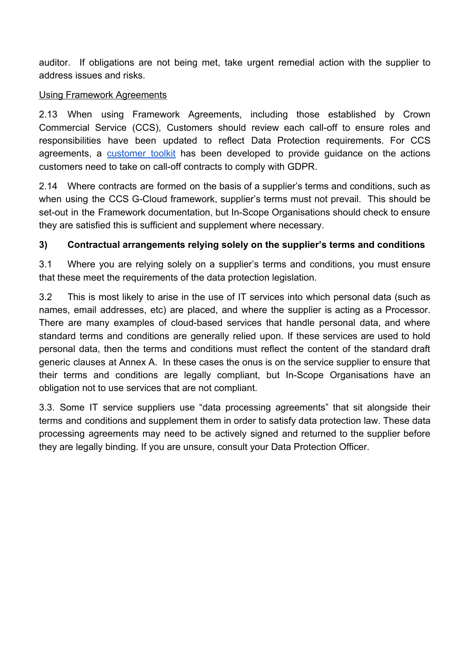auditor. If obligations are not being met, take urgent remedial action with the supplier to address issues and risks.

#### Using Framework Agreements

2.13 When using Framework Agreements, including those established by Crown Commercial Service (CCS), Customers should review each call-off to ensure roles and responsibilities have been updated to reflect Data Protection requirements. For CCS agreements, a [customer](https://www.gov.uk/government/publications/gdpr-customer-toolkit-guidance) toolkit has been developed to provide guidance on the actions customers need to take on call-off contracts to comply with GDPR.

2.14 Where contracts are formed on the basis of a supplier's terms and conditions, such as when using the CCS G-Cloud framework, supplier's terms must not prevail. This should be set-out in the Framework documentation, but In-Scope Organisations should check to ensure they are satisfied this is sufficient and supplement where necessary.

### **3) Contractual arrangements relying solely on the supplier's terms and conditions**

3.1 Where you are relying solely on a supplier's terms and conditions, you must ensure that these meet the requirements of the data protection legislation.

3.2 This is most likely to arise in the use of IT services into which personal data (such as names, email addresses, etc) are placed, and where the supplier is acting as a Processor. There are many examples of cloud-based services that handle personal data, and where standard terms and conditions are generally relied upon. If these services are used to hold personal data, then the terms and conditions must reflect the content of the standard draft generic clauses at Annex A. In these cases the onus is on the service supplier to ensure that their terms and conditions are legally compliant, but In-Scope Organisations have an obligation not to use services that are not compliant.

3.3. Some IT service suppliers use "data processing agreements" that sit alongside their terms and conditions and supplement them in order to satisfy data protection law. These data processing agreements may need to be actively signed and returned to the supplier before they are legally binding. If you are unsure, consult your Data Protection Officer.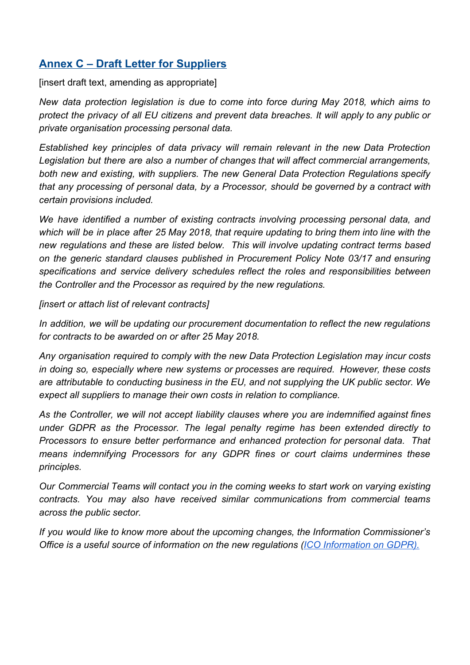# **Annex C – Draft Letter for Suppliers**

[insert draft text, amending as appropriate]

*New data protection legislation is due to come into force during May 2018, which aims to protect the privacy of all EU citizens and prevent data breaches. It will apply to any public or private organisation processing personal data.*

*Established key principles of data privacy will remain relevant in the new Data Protection Legislation but there are also a number of changes that will affect commercial arrangements, both new and existing, with suppliers. The new General Data Protection Regulations specify that any processing of personal data, by a Processor, should be governed by a contract with certain provisions included.*

*We have identified a number of existing contracts involving processing personal data, and* which will be in place after 25 May 2018, that require updating to bring them into line with the *new regulations and these are listed below. This will involve updating contract terms based on the generic standard clauses published in Procurement Policy Note 03/17 and ensuring specifications and service delivery schedules reflect the roles and responsibilities between the Controller and the Processor as required by the new regulations.*

*[insert or attach list of relevant contracts]*

*In addition, we will be updating our procurement documentation to reflect the new regulations for contracts to be awarded on or after 25 May 2018.*

*Any organisation required to comply with the new Data Protection Legislation may incur costs in doing so, especially where new systems or processes are required. However, these costs are attributable to conducting business in the EU, and not supplying the UK public sector. We expect all suppliers to manage their own costs in relation to compliance.*

*As the Controller, we will not accept liability clauses where you are indemnified against fines under GDPR as the Processor. The legal penalty regime has been extended directly to Processors to ensure better performance and enhanced protection for personal data. That means indemnifying Processors for any GDPR fines or court claims undermines these principles.*

*Our Commercial Teams will contact you in the coming weeks to start work on varying existing contracts. You may also have received similar communications from commercial teams across the public sector.*

*If you would like to know more about the upcoming changes, the Information Commissioner's Office is a useful source of information on the new regulations [\(ICO Information on GDPR\)](https://ico.org.uk/for-organisations/data-protection-reform/).*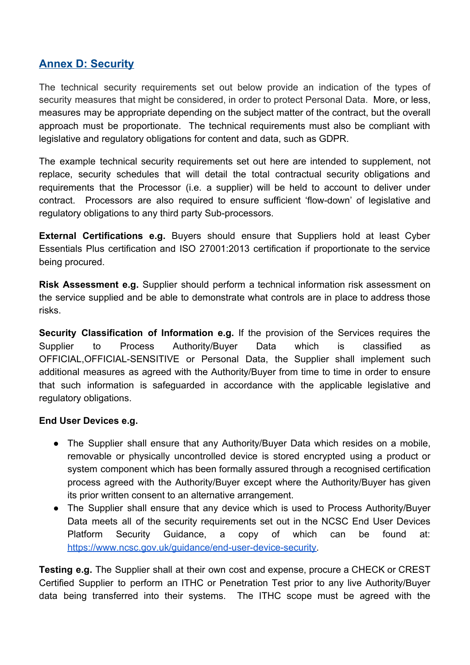# **Annex D: Security**

The technical security requirements set out below provide an indication of the types of security measures that might be considered, in order to protect Personal Data. More, or less, measures may be appropriate depending on the subject matter of the contract, but the overall approach must be proportionate. The technical requirements must also be compliant with legislative and regulatory obligations for content and data, such as GDPR.

The example technical security requirements set out here are intended to supplement, not replace, security schedules that will detail the total contractual security obligations and requirements that the Processor (i.e. a supplier) will be held to account to deliver under contract. Processors are also required to ensure sufficient 'flow-down' of legislative and regulatory obligations to any third party Sub-processors.

**External Certifications e.g.** Buyers should ensure that Suppliers hold at least Cyber Essentials Plus certification and ISO 27001:2013 certification if proportionate to the service being procured.

**Risk Assessment e.g.** Supplier should perform a technical information risk assessment on the service supplied and be able to demonstrate what controls are in place to address those risks.

**Security Classification of Information e.g.** If the provision of the Services requires the Supplier to Process Authority/Buyer Data which is classified as OFFICIAL,OFFICIAL-SENSITIVE or Personal Data, the Supplier shall implement such additional measures as agreed with the Authority/Buyer from time to time in order to ensure that such information is safeguarded in accordance with the applicable legislative and regulatory obligations.

#### **End User Devices e.g.**

- The Supplier shall ensure that any Authority/Buyer Data which resides on a mobile, removable or physically uncontrolled device is stored encrypted using a product or system component which has been formally assured through a recognised certification process agreed with the Authority/Buyer except where the Authority/Buyer has given its prior written consent to an alternative arrangement.
- The Supplier shall ensure that any device which is used to Process Authority/Buyer Data meets all of the security requirements set out in the NCSC End User Devices Platform Security Guidance, a copy of which can be found at: [https://www.ncsc.gov.uk/guidance/end-user-device-security.](https://www.ncsc.gov.uk/guidance/end-user-device-security)

**Testing e.g.** The Supplier shall at their own cost and expense, procure a CHECK or CREST Certified Supplier to perform an ITHC or Penetration Test prior to any live Authority/Buyer data being transferred into their systems. The ITHC scope must be agreed with the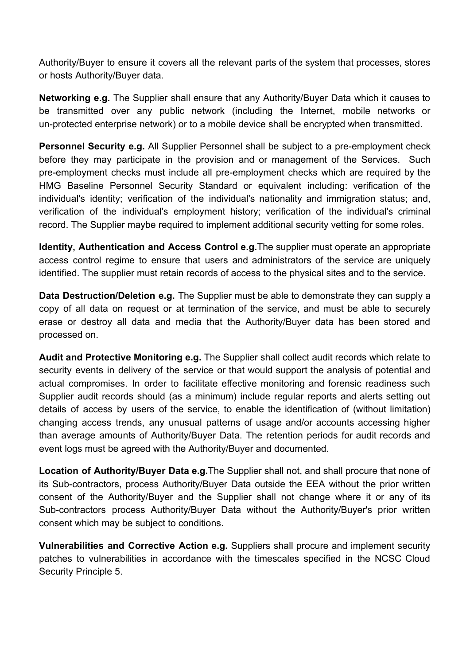Authority/Buyer to ensure it covers all the relevant parts of the system that processes, stores or hosts Authority/Buyer data.

**Networking e.g.** The Supplier shall ensure that any Authority/Buyer Data which it causes to be transmitted over any public network (including the Internet, mobile networks or un-protected enterprise network) or to a mobile device shall be encrypted when transmitted.

**Personnel Security e.g.** All Supplier Personnel shall be subject to a pre-employment check before they may participate in the provision and or management of the Services. Such pre-employment checks must include all pre-employment checks which are required by the HMG Baseline Personnel Security Standard or equivalent including: verification of the individual's identity; verification of the individual's nationality and immigration status; and, verification of the individual's employment history; verification of the individual's criminal record. The Supplier maybe required to implement additional security vetting for some roles.

**Identity, Authentication and Access Control e.g.**The supplier must operate an appropriate access control regime to ensure that users and administrators of the service are uniquely identified. The supplier must retain records of access to the physical sites and to the service.

**Data Destruction/Deletion e.g.** The Supplier must be able to demonstrate they can supply a copy of all data on request or at termination of the service, and must be able to securely erase or destroy all data and media that the Authority/Buyer data has been stored and processed on.

**Audit and Protective Monitoring e.g.** The Supplier shall collect audit records which relate to security events in delivery of the service or that would support the analysis of potential and actual compromises. In order to facilitate effective monitoring and forensic readiness such Supplier audit records should (as a minimum) include regular reports and alerts setting out details of access by users of the service, to enable the identification of (without limitation) changing access trends, any unusual patterns of usage and/or accounts accessing higher than average amounts of Authority/Buyer Data. The retention periods for audit records and event logs must be agreed with the Authority/Buyer and documented.

**Location of Authority/Buyer Data e.g.**The Supplier shall not, and shall procure that none of its Sub-contractors, process Authority/Buyer Data outside the EEA without the prior written consent of the Authority/Buyer and the Supplier shall not change where it or any of its Sub-contractors process Authority/Buyer Data without the Authority/Buyer's prior written consent which may be subject to conditions.

**Vulnerabilities and Corrective Action e.g.** Suppliers shall procure and implement security patches to vulnerabilities in accordance with the timescales specified in the NCSC Cloud Security Principle 5.